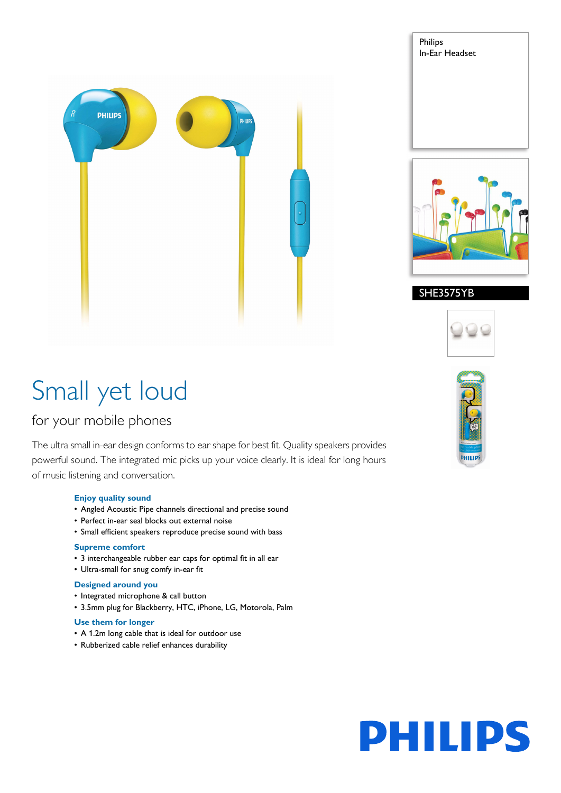

# Small yet loud

# for your mobile phones

The ultra small in-ear design conforms to ear shape for best fit. Quality speakers provides powerful sound. The integrated mic picks up your voice clearly. It is ideal for long hours of music listening and conversation.

## **Enjoy quality sound**

- Angled Acoustic Pipe channels directional and precise sound
- Perfect in-ear seal blocks out external noise
- Small efficient speakers reproduce precise sound with bass

## **Supreme comfort**

- 3 interchangeable rubber ear caps for optimal fit in all ear
- Ultra-small for snug comfy in-ear fit

## **Designed around you**

- Integrated microphone & call button
- 3.5mm plug for Blackberry, HTC, iPhone, LG, Motorola, Palm

## **Use them for longer**

- A 1.2m long cable that is ideal for outdoor use
- Rubberized cable relief enhances durability



Philips

In-Ear Headset

# SHE3575YB





# PHILII DS